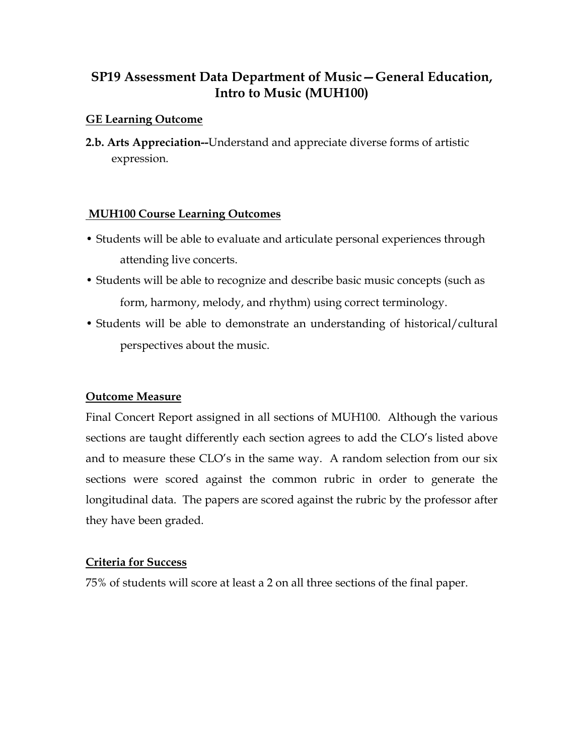# **SP19 Assessment Data Department of Music—General Education, Intro to Music (MUH100)**

#### **GE Learning Outcome**

**2.b. Arts Appreciation--**Understand and appreciate diverse forms of artistic expression.

#### **MUH100 Course Learning Outcomes**

- Students will be able to evaluate and articulate personal experiences through attending live concerts.
- Students will be able to recognize and describe basic music concepts (such as form, harmony, melody, and rhythm) using correct terminology.
- Students will be able to demonstrate an understanding of historical/cultural perspectives about the music.

### **Outcome Measure**

Final Concert Report assigned in all sections of MUH100. Although the various sections are taught differently each section agrees to add the CLO's listed above and to measure these CLO's in the same way. A random selection from our six sections were scored against the common rubric in order to generate the longitudinal data. The papers are scored against the rubric by the professor after they have been graded.

### **Criteria for Success**

75% of students will score at least a 2 on all three sections of the final paper.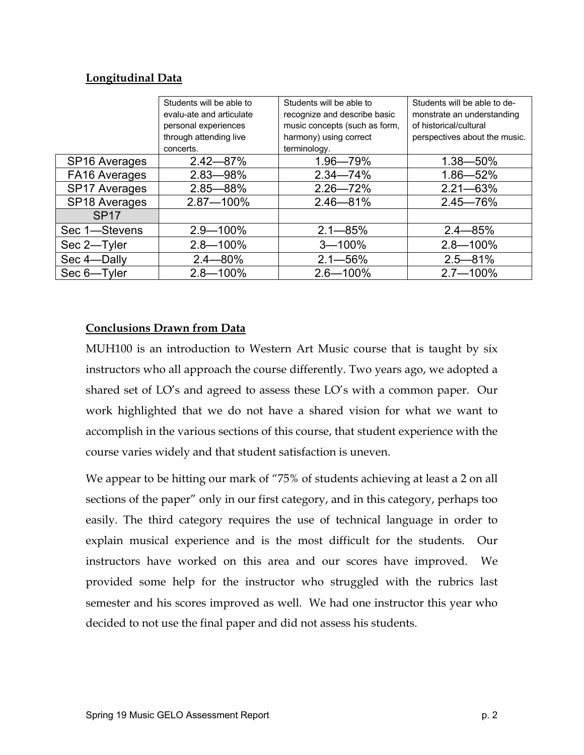#### **Longitudinal Data**

|                           | Students will be able to | Students will be able to      | Students will be able to de-  |
|---------------------------|--------------------------|-------------------------------|-------------------------------|
|                           | evalu-ate and articulate | recognize and describe basic  | monstrate an understanding    |
|                           | personal experiences     | music concepts (such as form, | of historical/cultural        |
|                           | through attending live   | harmony) using correct        | perspectives about the music. |
|                           | concerts.                | terminology.                  |                               |
| SP <sub>16</sub> Averages | $2.42 - 87%$             | 1.96-79%                      | $1.38 - 50\%$                 |
| FA16 Averages             | $2.83 - 98\%$            | $2.34 - 74%$                  | $1.86 - 52%$                  |
| <b>SP17 Averages</b>      | $2.85 - 88%$             | $2.26 - 72%$                  | $2.21 - 63\%$                 |
| SP18 Averages             | 2.87-100%                | $2.46 - 81%$                  | $2.45 - 76%$                  |
| <b>SP17</b>               |                          |                               |                               |
| Sec 1-Stevens             | $2.9 - 100\%$            | $2.1 - 85%$                   | $2.4 - 85%$                   |
| Sec 2-Tyler               | $2.8 - 100\%$            | $3 - 100%$                    | $2.8 - 100\%$                 |
| Sec 4-Dally               | $2.4 - 80\%$             | $2.1 - 56\%$                  | $2.5 - 81\%$                  |
| Sec 6-Tyler               | $2.8 - 100\%$            | $2.6 - 100\%$                 | $2.7 - 100\%$                 |

### **Conclusions Drawn from Data**

MUH100 is an introduction to Western Art Music course that is taught by six instructors who all approach the course differently. Two years ago, we adopted a shared set of LO's and agreed to assess these LO's with a common paper. Our work highlighted that we do not have a shared vision for what we want to accomplish in the various sections of this course, that student experience with the course varies widely and that student satisfaction is uneven.

We appear to be hitting our mark of "75% of students achieving at least a 2 on all sections of the paper" only in our first category, and in this category, perhaps too easily. The third category requires the use of technical language in order to explain musical experience and is the most difficult for the students. Our instructors have worked on this area and our scores have improved. We provided some help for the instructor who struggled with the rubrics last semester and his scores improved as well. We had one instructor this year who decided to not use the final paper and did not assess his students.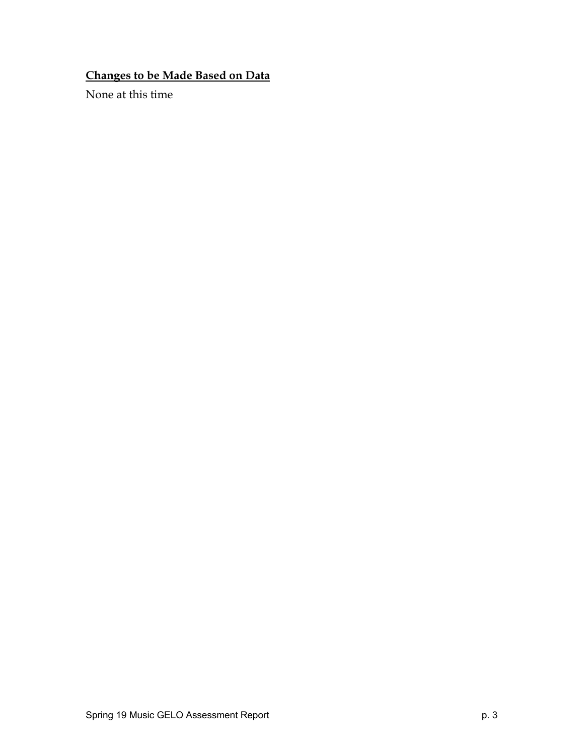# **Changes to be Made Based on Data**

None at this time